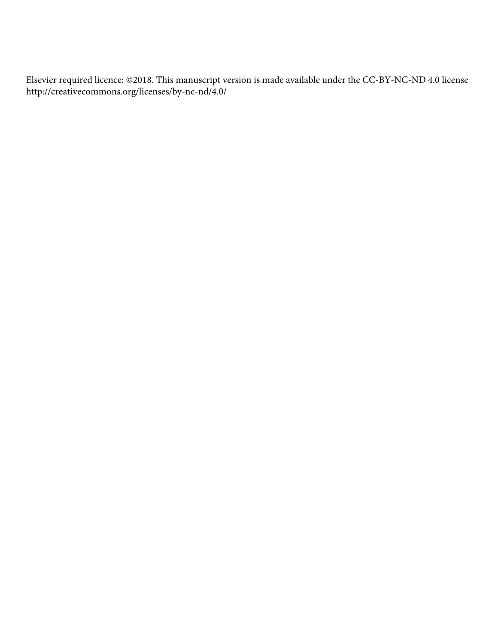Elsevier required licence: ©2018. This manuscript version is made available under the CC-BY-NC-ND 4.0 license http://creativecommons.org/licenses/by-nc-nd/4.0/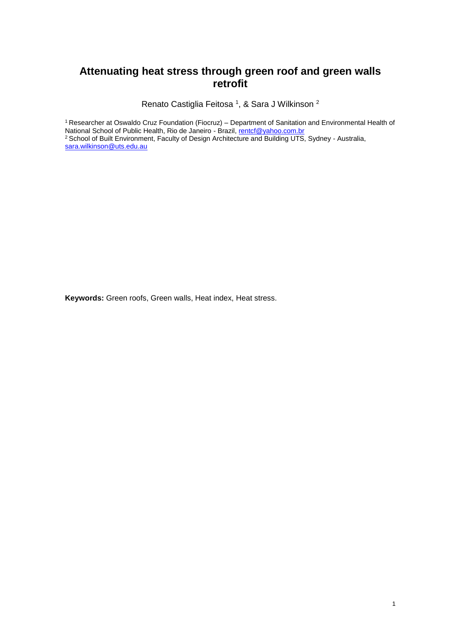# **Attenuating heat stress through green roof and green walls retrofit**

Renato Castiglia Feitosa <sup>1</sup>, & Sara J Wilkinson <sup>2</sup>

<sup>1</sup>Researcher at Oswaldo Cruz Foundation (Fiocruz) – Department of Sanitation and Environmental Health of National School of Public Health, Rio de Janeiro - Brazil, [rentcf@yahoo.com.br](mailto:rentcf@yahoo.com.br)

<sup>2</sup> School of Built Environment, Faculty of Design Architecture and Building UTS, Sydney - Australia, [sara.wilkinson@uts.edu.au](mailto:sara.wilkinson@uts.edu.au)

**Keywords:** Green roofs, Green walls, Heat index, Heat stress.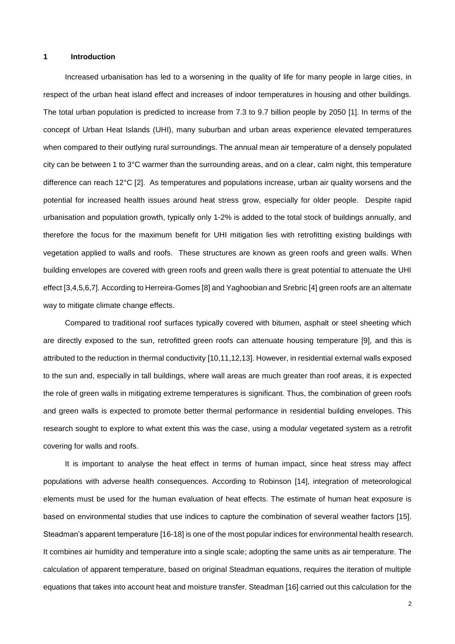# **1 Introduction**

Increased urbanisation has led to a worsening in the quality of life for many people in large cities, in respect of the urban heat island effect and increases of indoor temperatures in housing and other buildings. The total urban population is predicted to increase from 7.3 to 9.7 billion people by 2050 [1]. In terms of the concept of Urban Heat Islands (UHI), many suburban and urban areas experience elevated temperatures when compared to their outlying rural surroundings. The annual mean air temperature of a densely populated city can be between 1 to 3°C warmer than the surrounding areas, and on a clear, calm night, this temperature difference can reach 12°C [2]. As temperatures and populations increase, urban air quality worsens and the potential for increased health issues around heat stress grow, especially for older people. Despite rapid urbanisation and population growth, typically only 1-2% is added to the total stock of buildings annually, and therefore the focus for the maximum benefit for UHI mitigation lies with retrofitting existing buildings with vegetation applied to walls and roofs. These structures are known as green roofs and green walls. When building envelopes are covered with green roofs and green walls there is great potential to attenuate the UHI effect [3,4,5,6,7]. According to Herreira-Gomes [8] and Yaghoobian and Srebric [4] green roofs are an alternate way to mitigate climate change effects.

Compared to traditional roof surfaces typically covered with bitumen, asphalt or steel sheeting which are directly exposed to the sun, retrofitted green roofs can attenuate housing temperature [9], and this is attributed to the reduction in thermal conductivity [10,11,12,13]. However, in residential external walls exposed to the sun and, especially in tall buildings, where wall areas are much greater than roof areas, it is expected the role of green walls in mitigating extreme temperatures is significant. Thus, the combination of green roofs and green walls is expected to promote better thermal performance in residential building envelopes. This research sought to explore to what extent this was the case, using a modular vegetated system as a retrofit covering for walls and roofs.

It is important to analyse the heat effect in terms of human impact, since heat stress may affect populations with adverse health consequences. According to Robinson [14], integration of meteorological elements must be used for the human evaluation of heat effects. The estimate of human heat exposure is based on environmental studies that use indices to capture the combination of several weather factors [15]. Steadman's apparent temperature [16-18] is one of the most popular indices for environmental health research. It combines air humidity and temperature into a single scale; adopting the same units as air temperature. The calculation of apparent temperature, based on original Steadman equations, requires the iteration of multiple equations that takes into account heat and moisture transfer. Steadman [16] carried out this calculation for the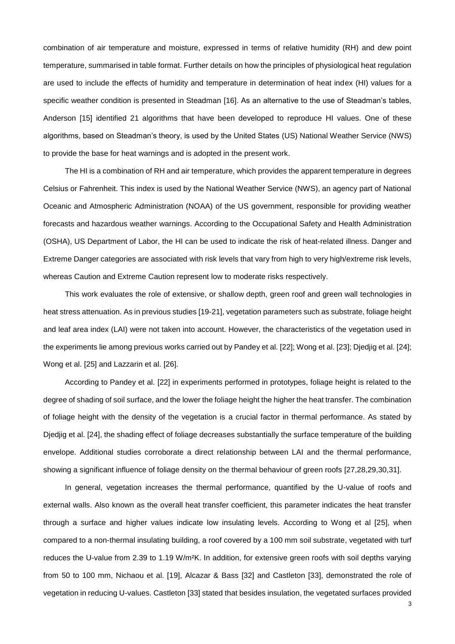combination of air temperature and moisture, expressed in terms of relative humidity (RH) and dew point temperature, summarised in table format. Further details on how the principles of physiological heat regulation are used to include the effects of humidity and temperature in determination of heat index (HI) values for a specific weather condition is presented in Steadman [16]. As an alternative to the use of Steadman's tables, Anderson [15] identified 21 algorithms that have been developed to reproduce HI values. One of these algorithms, based on Steadman's theory, is used by the United States (US) National Weather Service (NWS) to provide the base for heat warnings and is adopted in the present work.

The HI is a combination of RH and air temperature, which provides the apparent temperature in degrees Celsius or Fahrenheit. This index is used by the National Weather Service (NWS), an agency part of National Oceanic and Atmospheric Administration (NOAA) of the US government, responsible for providing weather forecasts and hazardous weather warnings. According to the Occupational Safety and Health Administration (OSHA), US Department of Labor, the HI can be used to indicate the risk of heat-related illness. Danger and Extreme Danger categories are associated with risk levels that vary from high to very high/extreme risk levels, whereas Caution and Extreme Caution represent low to moderate risks respectively.

This work evaluates the role of extensive, or shallow depth, green roof and green wall technologies in heat stress attenuation. As in previous studies [19-21], vegetation parameters such as substrate, foliage height and leaf area index (LAI) were not taken into account. However, the characteristics of the vegetation used in the experiments lie among previous works carried out by Pandey et al. [22]; Wong et al. [23]; Djedjig et al. [24]; Wong et al. [25] and Lazzarin et al. [26].

According to Pandey et al. [22] in experiments performed in prototypes, foliage height is related to the degree of shading of soil surface, and the lower the foliage height the higher the heat transfer. The combination of foliage height with the density of the vegetation is a crucial factor in thermal performance. As stated by Djedjig et al. [24], the shading effect of foliage decreases substantially the surface temperature of the building envelope. Additional studies corroborate a direct relationship between LAI and the thermal performance, showing a significant influence of foliage density on the thermal behaviour of green roofs [27,28,29,30,31].

In general, vegetation increases the thermal performance, quantified by the U-value of roofs and external walls. Also known as the overall heat transfer coefficient, this parameter indicates the heat transfer through a surface and higher values indicate low insulating levels. According to Wong et al [25], when compared to a non-thermal insulating building, a roof covered by a 100 mm soil substrate, vegetated with turf reduces the U-value from 2.39 to 1.19 W/m²K. In addition, for extensive green roofs with soil depths varying from 50 to 100 mm, Nichaou et al. [19], Alcazar & Bass [32] and Castleton [33], demonstrated the role of vegetation in reducing U-values. Castleton [33] stated that besides insulation, the vegetated surfaces provided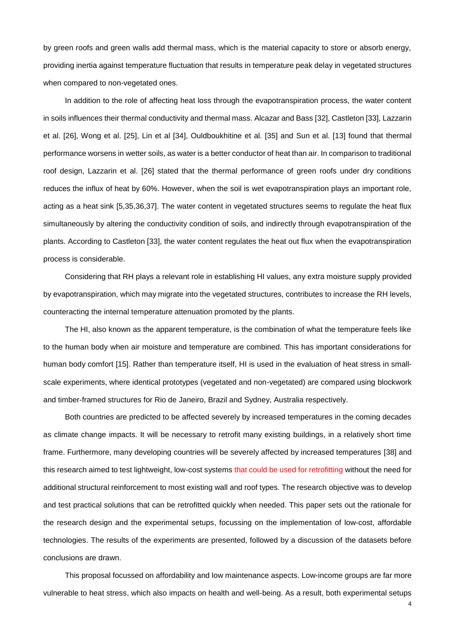by green roofs and green walls add thermal mass, which is the material capacity to store or absorb energy, providing inertia against temperature fluctuation that results in temperature peak delay in vegetated structures when compared to non-vegetated ones.

In addition to the role of affecting heat loss through the evapotranspiration process, the water content in soils influences their thermal conductivity and thermal mass. Alcazar and Bass [32], Castleton [33], Lazzarin et al. [26], Wong et al. [25], Lin et al [34], Ouldboukhitine et al. [35] and Sun et al. [13] found that thermal performance worsens in wetter soils, as water is a better conductor of heat than air. In comparison to traditional roof design, Lazzarin et al. [26] stated that the thermal performance of green roofs under dry conditions reduces the influx of heat by 60%. However, when the soil is wet evapotranspiration plays an important role, acting as a heat sink [5,35,36,37]. The water content in vegetated structures seems to regulate the heat flux simultaneously by altering the conductivity condition of soils, and indirectly through evapotranspiration of the plants. According to Castleton [33], the water content regulates the heat out flux when the evapotranspiration process is considerable.

Considering that RH plays a relevant role in establishing HI values, any extra moisture supply provided by evapotranspiration, which may migrate into the vegetated structures, contributes to increase the RH levels, counteracting the internal temperature attenuation promoted by the plants.

The HI, also known as the apparent temperature, is the combination of what the temperature feels like to the human body when air moisture and temperature are combined. This has important considerations for human body comfort [15]. Rather than temperature itself, HI is used in the evaluation of heat stress in smallscale experiments, where identical prototypes (vegetated and non-vegetated) are compared using blockwork and timber-framed structures for Rio de Janeiro, Brazil and Sydney, Australia respectively.

Both countries are predicted to be affected severely by increased temperatures in the coming decades as climate change impacts. It will be necessary to retrofit many existing buildings, in a relatively short time frame. Furthermore, many developing countries will be severely affected by increased temperatures [38] and this research aimed to test lightweight, low-cost systems that could be used for retrofitting without the need for additional structural reinforcement to most existing wall and roof types. The research objective was to develop and test practical solutions that can be retrofitted quickly when needed. This paper sets out the rationale for the research design and the experimental setups, focussing on the implementation of low-cost, affordable technologies. The results of the experiments are presented, followed by a discussion of the datasets before conclusions are drawn.

This proposal focussed on affordability and low maintenance aspects. Low-income groups are far more vulnerable to heat stress, which also impacts on health and well-being. As a result, both experimental setups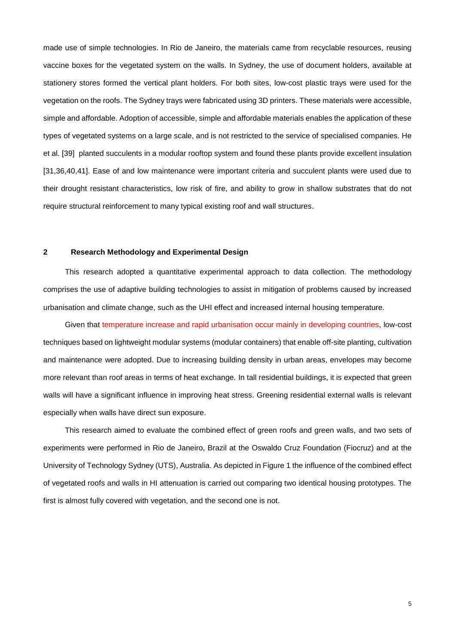made use of simple technologies. In Rio de Janeiro, the materials came from recyclable resources, reusing vaccine boxes for the vegetated system on the walls. In Sydney, the use of document holders, available at stationery stores formed the vertical plant holders. For both sites, low-cost plastic trays were used for the vegetation on the roofs. The Sydney trays were fabricated using 3D printers. These materials were accessible, simple and affordable. Adoption of accessible, simple and affordable materials enables the application of these types of vegetated systems on a large scale, and is not restricted to the service of specialised companies. He et al. [39] planted succulents in a modular rooftop system and found these plants provide excellent insulation [31,36,40,41]. Ease of and low maintenance were important criteria and succulent plants were used due to their drought resistant characteristics, low risk of fire, and ability to grow in shallow substrates that do not require structural reinforcement to many typical existing roof and wall structures.

## **2 Research Methodology and Experimental Design**

This research adopted a quantitative experimental approach to data collection. The methodology comprises the use of adaptive building technologies to assist in mitigation of problems caused by increased urbanisation and climate change, such as the UHI effect and increased internal housing temperature.

Given that temperature increase and rapid urbanisation occur mainly in developing countries, low-cost techniques based on lightweight modular systems (modular containers) that enable off-site planting, cultivation and maintenance were adopted. Due to increasing building density in urban areas, envelopes may become more relevant than roof areas in terms of heat exchange. In tall residential buildings, it is expected that green walls will have a significant influence in improving heat stress. Greening residential external walls is relevant especially when walls have direct sun exposure.

This research aimed to evaluate the combined effect of green roofs and green walls, and two sets of experiments were performed in Rio de Janeiro, Brazil at the Oswaldo Cruz Foundation (Fiocruz) and at the University of Technology Sydney (UTS), Australia. As depicted in Figure 1 the influence of the combined effect of vegetated roofs and walls in HI attenuation is carried out comparing two identical housing prototypes. The first is almost fully covered with vegetation, and the second one is not.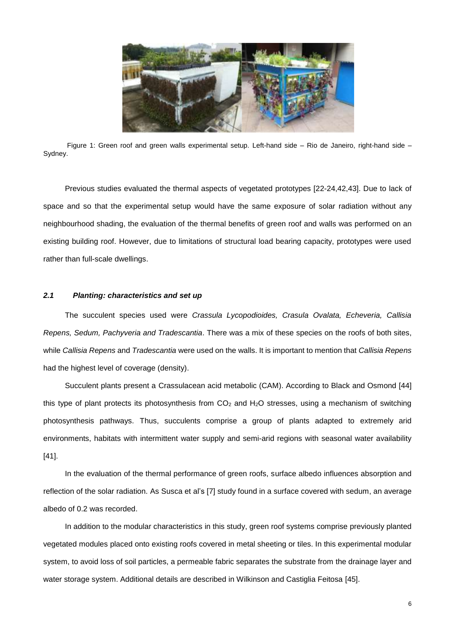

Figure 1: Green roof and green walls experimental setup. Left-hand side – Rio de Janeiro, right-hand side – Sydney.

Previous studies evaluated the thermal aspects of vegetated prototypes [22-24,42,43]. Due to lack of space and so that the experimental setup would have the same exposure of solar radiation without any neighbourhood shading, the evaluation of the thermal benefits of green roof and walls was performed on an existing building roof. However, due to limitations of structural load bearing capacity, prototypes were used rather than full-scale dwellings.

## *2.1 Planting: characteristics and set up*

The succulent species used were *Crassula Lycopodioides, Crasula Ovalata, Echeveria, Callisia Repens, Sedum, Pachyveria and Tradescantia*. There was a mix of these species on the roofs of both sites, while *Callisia Repens* and *Tradescantia* were used on the walls. It is important to mention that *Callisia Repens* had the highest level of coverage (density).

Succulent plants present a Crassulacean acid metabolic (CAM). According to Black and Osmond [44] this type of plant protects its photosynthesis from  $CO<sub>2</sub>$  and  $H<sub>2</sub>O$  stresses, using a mechanism of switching photosynthesis pathways. Thus, succulents comprise a group of plants adapted to extremely arid environments, habitats with intermittent water supply and semi-arid regions with seasonal water availability [41].

In the evaluation of the thermal performance of green roofs, surface albedo influences absorption and reflection of the solar radiation. As Susca et al's [7] study found in a surface covered with sedum, an average albedo of 0.2 was recorded.

In addition to the modular characteristics in this study, green roof systems comprise previously planted vegetated modules placed onto existing roofs covered in metal sheeting or tiles. In this experimental modular system, to avoid loss of soil particles, a permeable fabric separates the substrate from the drainage layer and water storage system. Additional details are described in Wilkinson and Castiglia Feitosa [45].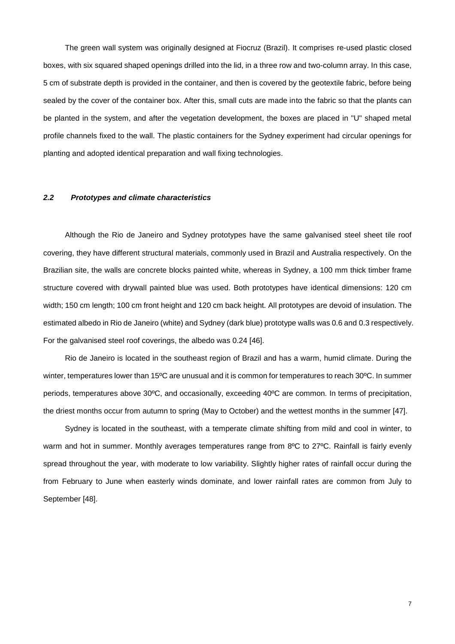The green wall system was originally designed at Fiocruz (Brazil). It comprises re-used plastic closed boxes, with six squared shaped openings drilled into the lid, in a three row and two-column array. In this case, 5 cm of substrate depth is provided in the container, and then is covered by the geotextile fabric, before being sealed by the cover of the container box. After this, small cuts are made into the fabric so that the plants can be planted in the system, and after the vegetation development, the boxes are placed in "U" shaped metal profile channels fixed to the wall. The plastic containers for the Sydney experiment had circular openings for planting and adopted identical preparation and wall fixing technologies.

## *2.2 Prototypes and climate characteristics*

Although the Rio de Janeiro and Sydney prototypes have the same galvanised steel sheet tile roof covering, they have different structural materials, commonly used in Brazil and Australia respectively. On the Brazilian site, the walls are concrete blocks painted white, whereas in Sydney, a 100 mm thick timber frame structure covered with drywall painted blue was used. Both prototypes have identical dimensions: 120 cm width; 150 cm length; 100 cm front height and 120 cm back height. All prototypes are devoid of insulation. The estimated albedo in Rio de Janeiro (white) and Sydney (dark blue) prototype walls was 0.6 and 0.3 respectively. For the galvanised steel roof coverings, the albedo was 0.24 [46].

Rio de Janeiro is located in the southeast region of Brazil and has a warm, humid climate. During the winter, temperatures lower than 15ºC are unusual and it is common for temperatures to reach 30ºC. In summer periods, temperatures above 30ºC, and occasionally, exceeding 40ºC are common. In terms of precipitation, the driest months occur from autumn to spring (May to October) and the wettest months in the summer [47].

Sydney is located in the southeast, with a temperate climate shifting from mild and cool in winter, to warm and hot in summer. Monthly averages temperatures range from 8°C to 27°C. Rainfall is fairly evenly spread throughout the year, with moderate to low variability. Slightly higher rates of rainfall occur during the from February to June when easterly winds dominate, and lower rainfall rates are common from July to September [48].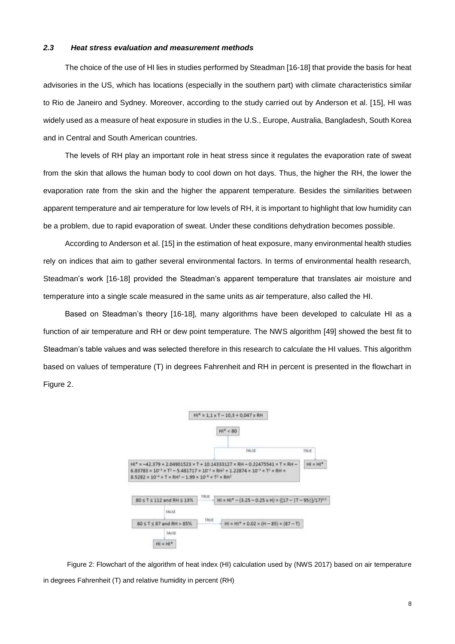#### *2.3 Heat stress evaluation and measurement methods*

The choice of the use of HI lies in studies performed by Steadman [16-18] that provide the basis for heat advisories in the US, which has locations (especially in the southern part) with climate characteristics similar to Rio de Janeiro and Sydney. Moreover, according to the study carried out by Anderson et al. [15], HI was widely used as a measure of heat exposure in studies in the U.S., Europe, Australia, Bangladesh, South Korea and in Central and South American countries.

The levels of RH play an important role in heat stress since it regulates the evaporation rate of sweat from the skin that allows the human body to cool down on hot days. Thus, the higher the RH, the lower the evaporation rate from the skin and the higher the apparent temperature. Besides the similarities between apparent temperature and air temperature for low levels of RH, it is important to highlight that low humidity can be a problem, due to rapid evaporation of sweat. Under these conditions dehydration becomes possible.

According to Anderson et al. [15] in the estimation of heat exposure, many environmental health studies rely on indices that aim to gather several environmental factors. In terms of environmental health research, Steadman's work [16-18] provided the Steadman's apparent temperature that translates air moisture and temperature into a single scale measured in the same units as air temperature, also called the HI.

Based on Steadman's theory [16-18], many algorithms have been developed to calculate HI as a function of air temperature and RH or dew point temperature. The NWS algorithm [49] showed the best fit to Steadman's table values and was selected therefore in this research to calculate the HI values. This algorithm based on values of temperature (T) in degrees Fahrenheit and RH in percent is presented in the flowchart in Figure 2.



Figure 2: Flowchart of the algorithm of heat index (HI) calculation used by (NWS 2017) based on air temperature in degrees Fahrenheit (T) and relative humidity in percent (RH)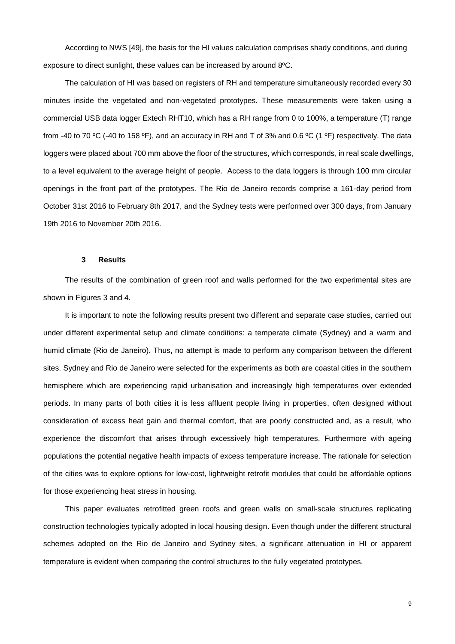According to NWS [49], the basis for the HI values calculation comprises shady conditions, and during exposure to direct sunlight, these values can be increased by around 8ºC.

The calculation of HI was based on registers of RH and temperature simultaneously recorded every 30 minutes inside the vegetated and non-vegetated prototypes. These measurements were taken using a commercial USB data logger Extech RHT10, which has a RH range from 0 to 100%, a temperature (T) range from -40 to 70 ºC (-40 to 158 ºF), and an accuracy in RH and T of 3% and 0.6 ºC (1 ºF) respectively. The data loggers were placed about 700 mm above the floor of the structures, which corresponds, in real scale dwellings, to a level equivalent to the average height of people. Access to the data loggers is through 100 mm circular openings in the front part of the prototypes. The Rio de Janeiro records comprise a 161-day period from October 31st 2016 to February 8th 2017, and the Sydney tests were performed over 300 days, from January 19th 2016 to November 20th 2016.

#### **3 Results**

The results of the combination of green roof and walls performed for the two experimental sites are shown in Figures 3 and 4.

It is important to note the following results present two different and separate case studies, carried out under different experimental setup and climate conditions: a temperate climate (Sydney) and a warm and humid climate (Rio de Janeiro). Thus, no attempt is made to perform any comparison between the different sites. Sydney and Rio de Janeiro were selected for the experiments as both are coastal cities in the southern hemisphere which are experiencing rapid urbanisation and increasingly high temperatures over extended periods. In many parts of both cities it is less affluent people living in properties, often designed without consideration of excess heat gain and thermal comfort, that are poorly constructed and, as a result, who experience the discomfort that arises through excessively high temperatures. Furthermore with ageing populations the potential negative health impacts of excess temperature increase. The rationale for selection of the cities was to explore options for low-cost, lightweight retrofit modules that could be affordable options for those experiencing heat stress in housing.

This paper evaluates retrofitted green roofs and green walls on small-scale structures replicating construction technologies typically adopted in local housing design. Even though under the different structural schemes adopted on the Rio de Janeiro and Sydney sites, a significant attenuation in HI or apparent temperature is evident when comparing the control structures to the fully vegetated prototypes.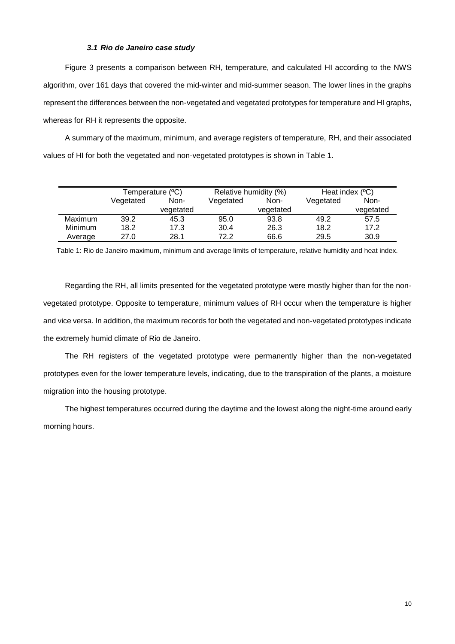# *3.1 Rio de Janeiro case study*

Figure 3 presents a comparison between RH, temperature, and calculated HI according to the NWS algorithm, over 161 days that covered the mid-winter and mid-summer season. The lower lines in the graphs represent the differences between the non-vegetated and vegetated prototypes for temperature and HI graphs, whereas for RH it represents the opposite.

A summary of the maximum, minimum, and average registers of temperature, RH, and their associated values of HI for both the vegetated and non-vegetated prototypes is shown in Table 1.

|                | Temperature (°C) |           | Relative humidity (%) |           | Heat index $(°C)$ |           |
|----------------|------------------|-----------|-----------------------|-----------|-------------------|-----------|
|                | Vegetated        | Non-      | Vegetated             | Non-      | Vegetated         | Non-      |
|                |                  | vegetated |                       | vegetated |                   | vegetated |
| Maximum        | 39.2             | 45.3      | 95.0                  | 93.8      | 49.2              | 57.5      |
| <b>Minimum</b> | 18.2             | 17.3      | 30.4                  | 26.3      | 18.2              | 17.2      |
| Average        | 27.0             | 28.1      | 72.2                  | 66.6      | 29.5              | 30.9      |

Table 1: Rio de Janeiro maximum, minimum and average limits of temperature, relative humidity and heat index.

Regarding the RH, all limits presented for the vegetated prototype were mostly higher than for the nonvegetated prototype. Opposite to temperature, minimum values of RH occur when the temperature is higher and vice versa. In addition, the maximum records for both the vegetated and non-vegetated prototypes indicate the extremely humid climate of Rio de Janeiro.

The RH registers of the vegetated prototype were permanently higher than the non-vegetated prototypes even for the lower temperature levels, indicating, due to the transpiration of the plants, a moisture migration into the housing prototype.

The highest temperatures occurred during the daytime and the lowest along the night-time around early morning hours.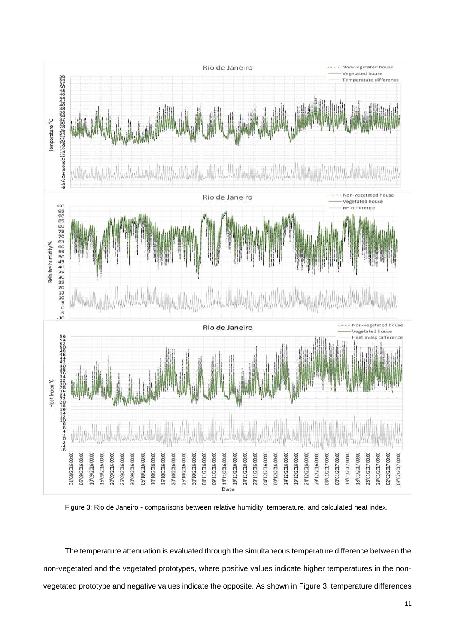

Figure 3: Rio de Janeiro - comparisons between relative humidity, temperature, and calculated heat index.

The temperature attenuation is evaluated through the simultaneous temperature difference between the non-vegetated and the vegetated prototypes, where positive values indicate higher temperatures in the nonvegetated prototype and negative values indicate the opposite. As shown in Figure 3, temperature differences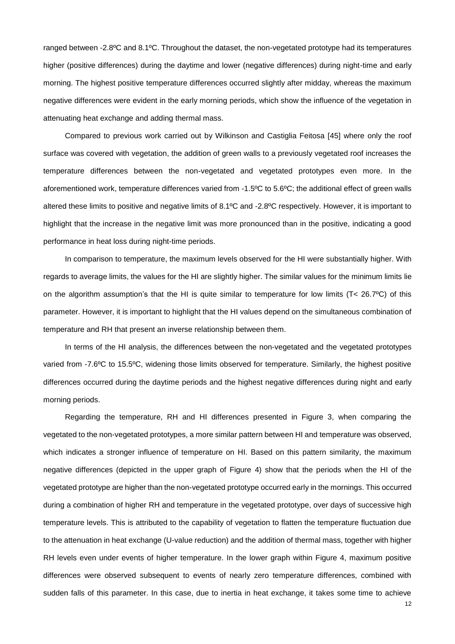ranged between -2.8ºC and 8.1ºC. Throughout the dataset, the non-vegetated prototype had its temperatures higher (positive differences) during the daytime and lower (negative differences) during night-time and early morning. The highest positive temperature differences occurred slightly after midday, whereas the maximum negative differences were evident in the early morning periods, which show the influence of the vegetation in attenuating heat exchange and adding thermal mass.

Compared to previous work carried out by Wilkinson and Castiglia Feitosa [45] where only the roof surface was covered with vegetation, the addition of green walls to a previously vegetated roof increases the temperature differences between the non-vegetated and vegetated prototypes even more. In the aforementioned work, temperature differences varied from -1.5ºC to 5.6ºC; the additional effect of green walls altered these limits to positive and negative limits of 8.1ºC and -2.8ºC respectively. However, it is important to highlight that the increase in the negative limit was more pronounced than in the positive, indicating a good performance in heat loss during night-time periods.

In comparison to temperature, the maximum levels observed for the HI were substantially higher. With regards to average limits, the values for the HI are slightly higher. The similar values for the minimum limits lie on the algorithm assumption's that the HI is quite similar to temperature for low limits ( $T < 26.7^{\circ}$ C) of this parameter. However, it is important to highlight that the HI values depend on the simultaneous combination of temperature and RH that present an inverse relationship between them.

In terms of the HI analysis, the differences between the non-vegetated and the vegetated prototypes varied from -7.6ºC to 15.5ºC, widening those limits observed for temperature. Similarly, the highest positive differences occurred during the daytime periods and the highest negative differences during night and early morning periods.

Regarding the temperature, RH and HI differences presented in Figure 3, when comparing the vegetated to the non-vegetated prototypes, a more similar pattern between HI and temperature was observed, which indicates a stronger influence of temperature on HI. Based on this pattern similarity, the maximum negative differences (depicted in the upper graph of Figure 4) show that the periods when the HI of the vegetated prototype are higher than the non-vegetated prototype occurred early in the mornings. This occurred during a combination of higher RH and temperature in the vegetated prototype, over days of successive high temperature levels. This is attributed to the capability of vegetation to flatten the temperature fluctuation due to the attenuation in heat exchange (U-value reduction) and the addition of thermal mass, together with higher RH levels even under events of higher temperature. In the lower graph within Figure 4, maximum positive differences were observed subsequent to events of nearly zero temperature differences, combined with sudden falls of this parameter. In this case, due to inertia in heat exchange, it takes some time to achieve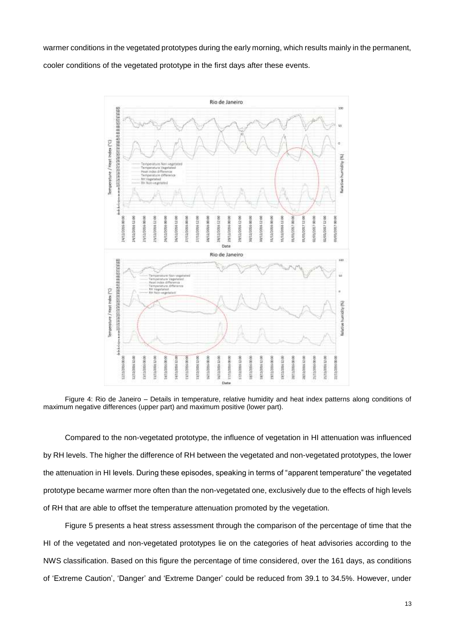warmer conditions in the vegetated prototypes during the early morning, which results mainly in the permanent, cooler conditions of the vegetated prototype in the first days after these events.



Figure 4: Rio de Janeiro – Details in temperature, relative humidity and heat index patterns along conditions of maximum negative differences (upper part) and maximum positive (lower part).

Compared to the non-vegetated prototype, the influence of vegetation in HI attenuation was influenced by RH levels. The higher the difference of RH between the vegetated and non-vegetated prototypes, the lower the attenuation in HI levels. During these episodes, speaking in terms of "apparent temperature" the vegetated prototype became warmer more often than the non-vegetated one, exclusively due to the effects of high levels of RH that are able to offset the temperature attenuation promoted by the vegetation.

Figure 5 presents a heat stress assessment through the comparison of the percentage of time that the HI of the vegetated and non-vegetated prototypes lie on the categories of heat advisories according to the NWS classification. Based on this figure the percentage of time considered, over the 161 days, as conditions of 'Extreme Caution', 'Danger' and 'Extreme Danger' could be reduced from 39.1 to 34.5%. However, under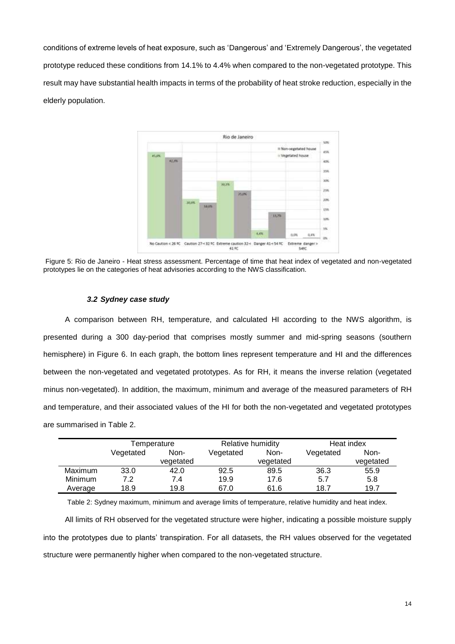conditions of extreme levels of heat exposure, such as 'Dangerous' and 'Extremely Dangerous', the vegetated prototype reduced these conditions from 14.1% to 4.4% when compared to the non-vegetated prototype. This result may have substantial health impacts in terms of the probability of heat stroke reduction, especially in the elderly population.



Figure 5: Rio de Janeiro - Heat stress assessment. Percentage of time that heat index of vegetated and non-vegetated prototypes lie on the categories of heat advisories according to the NWS classification.

# *3.2 Sydney case study*

A comparison between RH, temperature, and calculated HI according to the NWS algorithm, is presented during a 300 day-period that comprises mostly summer and mid-spring seasons (southern hemisphere) in Figure 6. In each graph, the bottom lines represent temperature and HI and the differences between the non-vegetated and vegetated prototypes. As for RH, it means the inverse relation (vegetated minus non-vegetated). In addition, the maximum, minimum and average of the measured parameters of RH and temperature, and their associated values of the HI for both the non-vegetated and vegetated prototypes are summarised in Table 2.

|                | Temperature |           | Relative humidity |           | Heat index |           |
|----------------|-------------|-----------|-------------------|-----------|------------|-----------|
|                | Vegetated   | Non-      | Vegetated         | Non-      | Vegetated  | Non-      |
|                |             | vegetated |                   | vegetated |            | vegetated |
| <b>Maximum</b> | 33.0        | 42.0      | 92.5              | 89.5      | 36.3       | 55.9      |
| <b>Minimum</b> | 7.2         | 7.4       | 19.9              | 17.6      | 5.7        | 5.8       |
| Average        | 18.9        | 19.8      | 67.0              | 61.6      | 18.7       | 19.7      |

Table 2: Sydney maximum, minimum and average limits of temperature, relative humidity and heat index.

All limits of RH observed for the vegetated structure were higher, indicating a possible moisture supply into the prototypes due to plants' transpiration. For all datasets, the RH values observed for the vegetated structure were permanently higher when compared to the non-vegetated structure.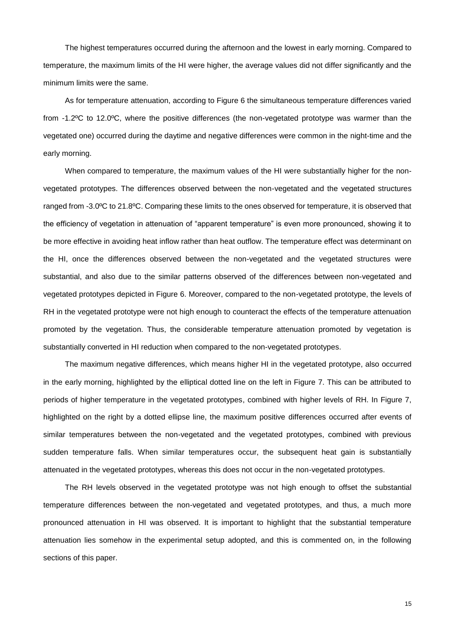The highest temperatures occurred during the afternoon and the lowest in early morning. Compared to temperature, the maximum limits of the HI were higher, the average values did not differ significantly and the minimum limits were the same.

As for temperature attenuation, according to Figure 6 the simultaneous temperature differences varied from -1.2ºC to 12.0ºC, where the positive differences (the non-vegetated prototype was warmer than the vegetated one) occurred during the daytime and negative differences were common in the night-time and the early morning.

When compared to temperature, the maximum values of the HI were substantially higher for the nonvegetated prototypes. The differences observed between the non-vegetated and the vegetated structures ranged from -3.0ºC to 21.8ºC. Comparing these limits to the ones observed for temperature, it is observed that the efficiency of vegetation in attenuation of "apparent temperature" is even more pronounced, showing it to be more effective in avoiding heat inflow rather than heat outflow. The temperature effect was determinant on the HI, once the differences observed between the non-vegetated and the vegetated structures were substantial, and also due to the similar patterns observed of the differences between non-vegetated and vegetated prototypes depicted in Figure 6. Moreover, compared to the non-vegetated prototype, the levels of RH in the vegetated prototype were not high enough to counteract the effects of the temperature attenuation promoted by the vegetation. Thus, the considerable temperature attenuation promoted by vegetation is substantially converted in HI reduction when compared to the non-vegetated prototypes.

The maximum negative differences, which means higher HI in the vegetated prototype, also occurred in the early morning, highlighted by the elliptical dotted line on the left in Figure 7. This can be attributed to periods of higher temperature in the vegetated prototypes, combined with higher levels of RH. In Figure 7, highlighted on the right by a dotted ellipse line, the maximum positive differences occurred after events of similar temperatures between the non-vegetated and the vegetated prototypes, combined with previous sudden temperature falls. When similar temperatures occur, the subsequent heat gain is substantially attenuated in the vegetated prototypes, whereas this does not occur in the non-vegetated prototypes.

The RH levels observed in the vegetated prototype was not high enough to offset the substantial temperature differences between the non-vegetated and vegetated prototypes, and thus, a much more pronounced attenuation in HI was observed. It is important to highlight that the substantial temperature attenuation lies somehow in the experimental setup adopted, and this is commented on, in the following sections of this paper.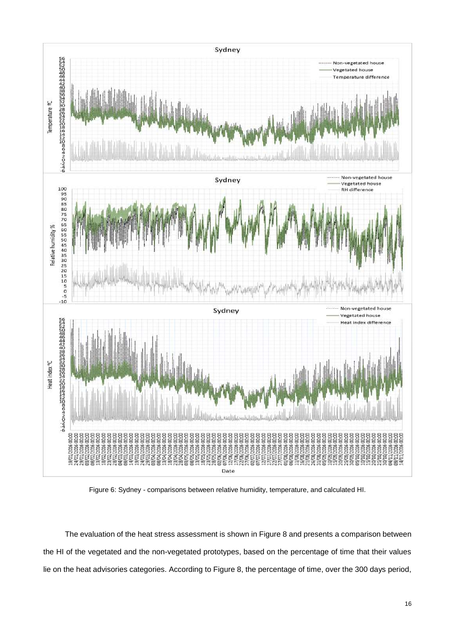

Figure 6: Sydney - comparisons between relative humidity, temperature, and calculated HI.

The evaluation of the heat stress assessment is shown in Figure 8 and presents a comparison between the HI of the vegetated and the non-vegetated prototypes, based on the percentage of time that their values lie on the heat advisories categories. According to Figure 8, the percentage of time, over the 300 days period,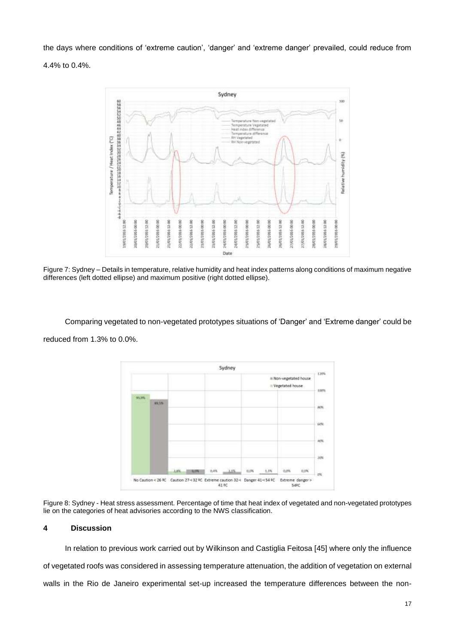the days where conditions of 'extreme caution', 'danger' and 'extreme danger' prevailed, could reduce from

4.4% to 0.4%.



Figure 7: Sydney – Details in temperature, relative humidity and heat index patterns along conditions of maximum negative differences (left dotted ellipse) and maximum positive (right dotted ellipse).

Comparing vegetated to non-vegetated prototypes situations of 'Danger' and 'Extreme danger' could be reduced from 1.3% to 0.0%.



Figure 8: Sydney - Heat stress assessment. Percentage of time that heat index of vegetated and non-vegetated prototypes lie on the categories of heat advisories according to the NWS classification.

# **4 Discussion**

In relation to previous work carried out by Wilkinson and Castiglia Feitosa [45] where only the influence of vegetated roofs was considered in assessing temperature attenuation, the addition of vegetation on external walls in the Rio de Janeiro experimental set-up increased the temperature differences between the non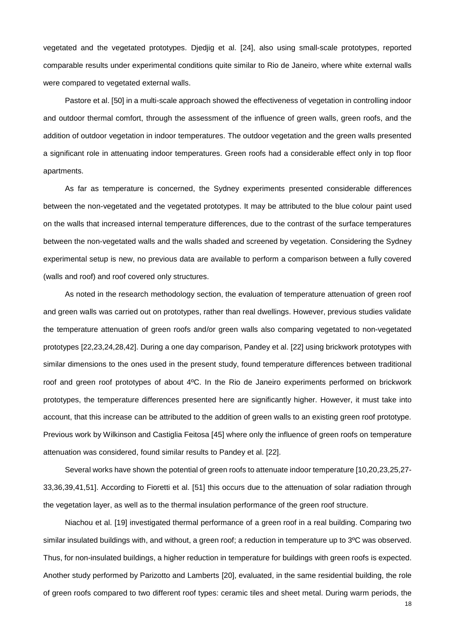vegetated and the vegetated prototypes. Djedjig et al. [24], also using small-scale prototypes, reported comparable results under experimental conditions quite similar to Rio de Janeiro, where white external walls were compared to vegetated external walls.

Pastore et al. [50] in a multi-scale approach showed the effectiveness of vegetation in controlling indoor and outdoor thermal comfort, through the assessment of the influence of green walls, green roofs, and the addition of outdoor vegetation in indoor temperatures. The outdoor vegetation and the green walls presented a significant role in attenuating indoor temperatures. Green roofs had a considerable effect only in top floor apartments.

As far as temperature is concerned, the Sydney experiments presented considerable differences between the non-vegetated and the vegetated prototypes. It may be attributed to the blue colour paint used on the walls that increased internal temperature differences, due to the contrast of the surface temperatures between the non-vegetated walls and the walls shaded and screened by vegetation. Considering the Sydney experimental setup is new, no previous data are available to perform a comparison between a fully covered (walls and roof) and roof covered only structures.

As noted in the research methodology section, the evaluation of temperature attenuation of green roof and green walls was carried out on prototypes, rather than real dwellings. However, previous studies validate the temperature attenuation of green roofs and/or green walls also comparing vegetated to non-vegetated prototypes [22,23,24,28,42]. During a one day comparison, Pandey et al. [22] using brickwork prototypes with similar dimensions to the ones used in the present study, found temperature differences between traditional roof and green roof prototypes of about 4ºC. In the Rio de Janeiro experiments performed on brickwork prototypes, the temperature differences presented here are significantly higher. However, it must take into account, that this increase can be attributed to the addition of green walls to an existing green roof prototype. Previous work by Wilkinson and Castiglia Feitosa [45] where only the influence of green roofs on temperature attenuation was considered, found similar results to Pandey et al. [22].

Several works have shown the potential of green roofs to attenuate indoor temperature [10,20,23,25,27- 33,36,39,41,51]. According to Fioretti et al. [51] this occurs due to the attenuation of solar radiation through the vegetation layer, as well as to the thermal insulation performance of the green roof structure.

Niachou et al. [19] investigated thermal performance of a green roof in a real building. Comparing two similar insulated buildings with, and without, a green roof; a reduction in temperature up to 3°C was observed. Thus, for non-insulated buildings, a higher reduction in temperature for buildings with green roofs is expected. Another study performed by Parizotto and Lamberts [20], evaluated, in the same residential building, the role of green roofs compared to two different roof types: ceramic tiles and sheet metal. During warm periods, the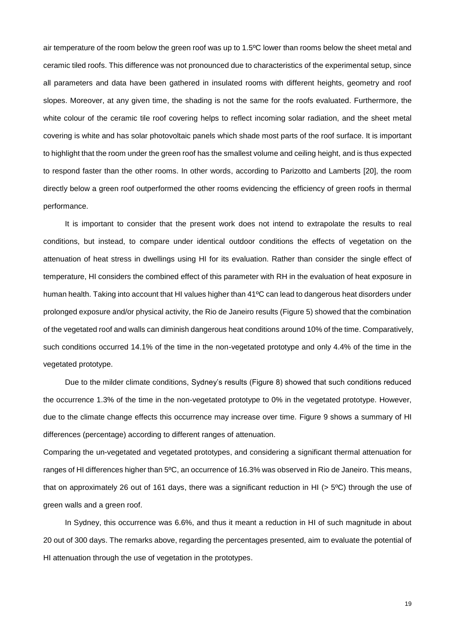air temperature of the room below the green roof was up to 1.5ºC lower than rooms below the sheet metal and ceramic tiled roofs. This difference was not pronounced due to characteristics of the experimental setup, since all parameters and data have been gathered in insulated rooms with different heights, geometry and roof slopes. Moreover, at any given time, the shading is not the same for the roofs evaluated. Furthermore, the white colour of the ceramic tile roof covering helps to reflect incoming solar radiation, and the sheet metal covering is white and has solar photovoltaic panels which shade most parts of the roof surface. It is important to highlight that the room under the green roof has the smallest volume and ceiling height, and is thus expected to respond faster than the other rooms. In other words, according to Parizotto and Lamberts [20], the room directly below a green roof outperformed the other rooms evidencing the efficiency of green roofs in thermal performance.

It is important to consider that the present work does not intend to extrapolate the results to real conditions, but instead, to compare under identical outdoor conditions the effects of vegetation on the attenuation of heat stress in dwellings using HI for its evaluation. Rather than consider the single effect of temperature, HI considers the combined effect of this parameter with RH in the evaluation of heat exposure in human health. Taking into account that HI values higher than 41ºC can lead to dangerous heat disorders under prolonged exposure and/or physical activity, the Rio de Janeiro results (Figure 5) showed that the combination of the vegetated roof and walls can diminish dangerous heat conditions around 10% of the time. Comparatively, such conditions occurred 14.1% of the time in the non-vegetated prototype and only 4.4% of the time in the vegetated prototype.

Due to the milder climate conditions, Sydney's results (Figure 8) showed that such conditions reduced the occurrence 1.3% of the time in the non-vegetated prototype to 0% in the vegetated prototype. However, due to the climate change effects this occurrence may increase over time. Figure 9 shows a summary of HI differences (percentage) according to different ranges of attenuation.

Comparing the un-vegetated and vegetated prototypes, and considering a significant thermal attenuation for ranges of HI differences higher than 5ºC, an occurrence of 16.3% was observed in Rio de Janeiro. This means, that on approximately 26 out of 161 days, there was a significant reduction in HI ( $>$  5 $\degree$ C) through the use of green walls and a green roof.

In Sydney, this occurrence was 6.6%, and thus it meant a reduction in HI of such magnitude in about 20 out of 300 days. The remarks above, regarding the percentages presented, aim to evaluate the potential of HI attenuation through the use of vegetation in the prototypes.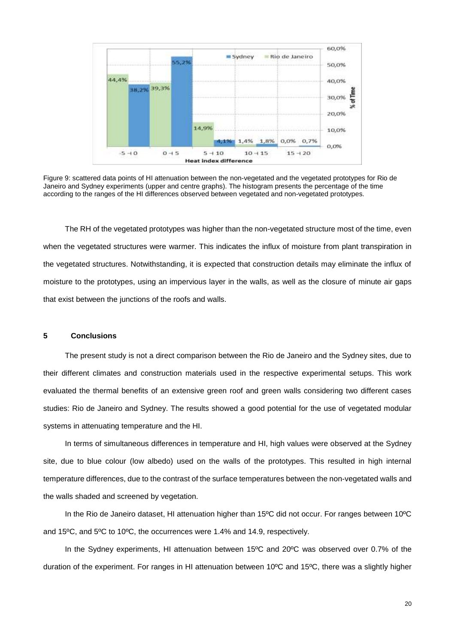

Figure 9: scattered data points of HI attenuation between the non-vegetated and the vegetated prototypes for Rio de Janeiro and Sydney experiments (upper and centre graphs). The histogram presents the percentage of the time according to the ranges of the HI differences observed between vegetated and non-vegetated prototypes.

The RH of the vegetated prototypes was higher than the non-vegetated structure most of the time, even when the vegetated structures were warmer. This indicates the influx of moisture from plant transpiration in the vegetated structures. Notwithstanding, it is expected that construction details may eliminate the influx of moisture to the prototypes, using an impervious layer in the walls, as well as the closure of minute air gaps that exist between the junctions of the roofs and walls.

# **5 Conclusions**

The present study is not a direct comparison between the Rio de Janeiro and the Sydney sites, due to their different climates and construction materials used in the respective experimental setups. This work evaluated the thermal benefits of an extensive green roof and green walls considering two different cases studies: Rio de Janeiro and Sydney. The results showed a good potential for the use of vegetated modular systems in attenuating temperature and the HI.

In terms of simultaneous differences in temperature and HI, high values were observed at the Sydney site, due to blue colour (low albedo) used on the walls of the prototypes. This resulted in high internal temperature differences, due to the contrast of the surface temperatures between the non-vegetated walls and the walls shaded and screened by vegetation.

In the Rio de Janeiro dataset, HI attenuation higher than 15ºC did not occur. For ranges between 10ºC and 15ºC, and 5ºC to 10ºC, the occurrences were 1.4% and 14.9, respectively.

In the Sydney experiments, HI attenuation between 15ºC and 20ºC was observed over 0.7% of the duration of the experiment. For ranges in HI attenuation between 10ºC and 15ºC, there was a slightly higher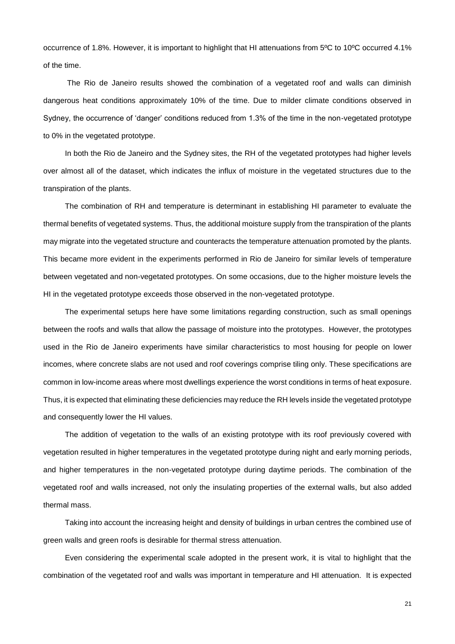occurrence of 1.8%. However, it is important to highlight that HI attenuations from 5ºC to 10ºC occurred 4.1% of the time.

The Rio de Janeiro results showed the combination of a vegetated roof and walls can diminish dangerous heat conditions approximately 10% of the time. Due to milder climate conditions observed in Sydney, the occurrence of 'danger' conditions reduced from 1.3% of the time in the non-vegetated prototype to 0% in the vegetated prototype.

In both the Rio de Janeiro and the Sydney sites, the RH of the vegetated prototypes had higher levels over almost all of the dataset, which indicates the influx of moisture in the vegetated structures due to the transpiration of the plants.

The combination of RH and temperature is determinant in establishing HI parameter to evaluate the thermal benefits of vegetated systems. Thus, the additional moisture supply from the transpiration of the plants may migrate into the vegetated structure and counteracts the temperature attenuation promoted by the plants. This became more evident in the experiments performed in Rio de Janeiro for similar levels of temperature between vegetated and non-vegetated prototypes. On some occasions, due to the higher moisture levels the HI in the vegetated prototype exceeds those observed in the non-vegetated prototype.

The experimental setups here have some limitations regarding construction, such as small openings between the roofs and walls that allow the passage of moisture into the prototypes. However, the prototypes used in the Rio de Janeiro experiments have similar characteristics to most housing for people on lower incomes, where concrete slabs are not used and roof coverings comprise tiling only. These specifications are common in low-income areas where most dwellings experience the worst conditions in terms of heat exposure. Thus, it is expected that eliminating these deficiencies may reduce the RH levels inside the vegetated prototype and consequently lower the HI values.

The addition of vegetation to the walls of an existing prototype with its roof previously covered with vegetation resulted in higher temperatures in the vegetated prototype during night and early morning periods, and higher temperatures in the non-vegetated prototype during daytime periods. The combination of the vegetated roof and walls increased, not only the insulating properties of the external walls, but also added thermal mass.

Taking into account the increasing height and density of buildings in urban centres the combined use of green walls and green roofs is desirable for thermal stress attenuation.

Even considering the experimental scale adopted in the present work, it is vital to highlight that the combination of the vegetated roof and walls was important in temperature and HI attenuation. It is expected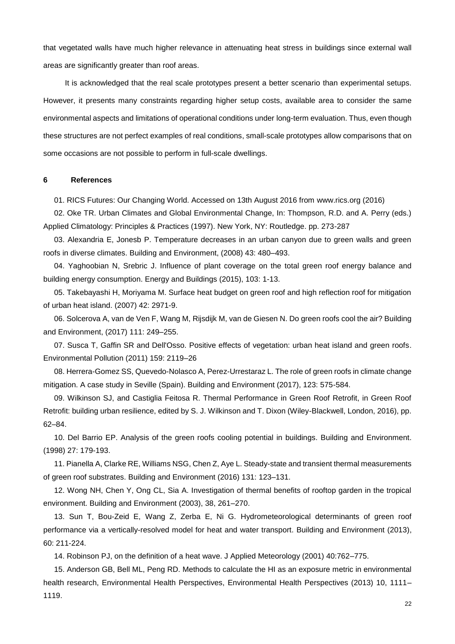that vegetated walls have much higher relevance in attenuating heat stress in buildings since external wall areas are significantly greater than roof areas.

It is acknowledged that the real scale prototypes present a better scenario than experimental setups. However, it presents many constraints regarding higher setup costs, available area to consider the same environmental aspects and limitations of operational conditions under long-term evaluation. Thus, even though these structures are not perfect examples of real conditions, small-scale prototypes allow comparisons that on some occasions are not possible to perform in full-scale dwellings.

## **6 References**

01. RICS Futures: Our Changing World. Accessed on 13th August 2016 from [www.rics.org](http://www.rics.org/) (2016)

02. Oke TR. Urban Climates and Global Environmental Change, In: Thompson, R.D. and A. Perry (eds.) Applied Climatology: Principles & Practices (1997). New York, NY: Routledge. pp. 273-287

03. Alexandria E, Jonesb P. Temperature decreases in an urban canyon due to green walls and green roofs in diverse climates. Building and Environment, (2008) 43: 480–493.

04. Yaghoobian N, Srebric J. Influence of plant coverage on the total green roof energy balance and building energy consumption. Energy and Buildings (2015), 103: 1-13.

05. Takebayashi H, Moriyama M. Surface heat budget on green roof and high reflection roof for mitigation of urban heat island. (2007) 42: 2971-9.

06. Solcerova A, van de Ven F, Wang M, Rijsdijk M, van de Giesen N. Do green roofs cool the air? Building and Environment, (2017) 111: 249–255.

07. Susca T, Gaffin SR and Dell'Osso. Positive effects of vegetation: urban heat island and green roofs. Environmental Pollution (2011) 159: 2119–26

08. Herrera-Gomez SS, Quevedo-Nolasco A, Perez-Urrestaraz L. The role of green roofs in climate change mitigation. A case study in Seville (Spain). Building and Environment (2017), 123: 575-584.

09. Wilkinson SJ, and Castiglia Feitosa R. Thermal Performance in Green Roof Retrofit, in Green Roof Retrofit: building urban resilience, edited by S. J. Wilkinson and T. Dixon (Wiley-Blackwell, London, 2016), pp. 62–84.

10. Del Barrio EP. Analysis of the green roofs cooling potential in buildings. Building and Environment. (1998) 27: 179-193.

11. Pianella A, Clarke RE, Williams NSG, Chen Z, Aye L. Steady-state and transient thermal measurements of green roof substrates. Building and Environment (2016) 131: 123–131.

12. Wong NH, Chen Y, Ong CL, Sia A. Investigation of thermal benefits of rooftop garden in the tropical environment. Building and Environment (2003), 38, 261–270.

13. Sun T, Bou-Zeid E, Wang Z, Zerba E, Ni G. Hydrometeorological determinants of green roof performance via a vertically-resolved model for heat and water transport. Building and Environment (2013), 60: 211-224.

14. Robinson PJ, on the definition of a heat wave. J Applied Meteorology (2001) 40:762–775.

15. Anderson GB, Bell ML, Peng RD. Methods to calculate the HI as an exposure metric in environmental health research, Environmental Health Perspectives, Environmental Health Perspectives (2013) 10, 1111– 1119.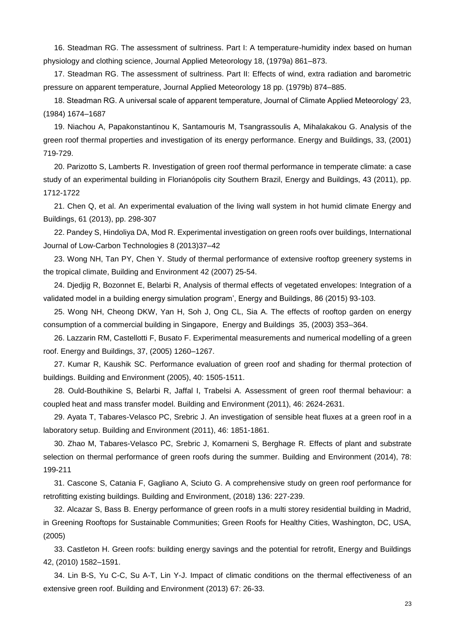16. Steadman RG. The assessment of sultriness. Part I: A temperature-humidity index based on human physiology and clothing science, Journal Applied Meteorology 18, (1979a) 861–873.

17. Steadman RG. The assessment of sultriness. Part II: Effects of wind, extra radiation and barometric pressure on apparent temperature, Journal Applied Meteorology 18 pp. (1979b) 874–885.

18. Steadman RG. A universal scale of apparent temperature, Journal of Climate Applied Meteorology' 23, (1984) 1674–1687

19. Niachou A, Papakonstantinou K, Santamouris M, Tsangrassoulis A, Mihalakakou G. Analysis of the green roof thermal properties and investigation of its energy performance. Energy and Buildings, 33, (2001) 719-729.

20. Parizotto S, Lamberts R. Investigation of green roof thermal performance in temperate climate: a case study of an experimental building in Florianópolis city Southern Brazil, Energy and Buildings, 43 (2011), pp. 1712-1722

21. Chen Q, et al. An experimental evaluation of the living wall system in hot humid climate Energy and Buildings, 61 (2013), pp. 298-307

22. Pandey S, Hindoliya DA, Mod R. Experimental investigation on green roofs over buildings, International Journal of Low-Carbon Technologies 8 (2013)37–42

23. Wong NH, Tan PY, Chen Y. Study of thermal performance of extensive rooftop greenery systems in the tropical climate, Building and Environment 42 (2007) 25-54.

24. Djedjig R, Bozonnet E, Belarbi R, Analysis of thermal effects of vegetated envelopes: Integration of a validated model in a building energy simulation program', Energy and Buildings, 86 (2015) 93-103.

25. Wong NH, Cheong DKW, Yan H, Soh J, Ong CL, Sia A. The effects of rooftop garden on energy consumption of a commercial building in Singapore, Energy and Buildings 35, (2003) 353–364.

26. Lazzarin RM, Castellotti F, Busato F. Experimental measurements and numerical modelling of a green roof. Energy and Buildings, 37, (2005) 1260–1267.

27. Kumar R, Kaushik SC. Performance evaluation of green roof and shading for thermal protection of buildings. Building and Environment (2005), 40: 1505-1511.

28. Ould-Bouthikine S, Belarbi R, Jaffal I, Trabelsi A. Assessment of green roof thermal behaviour: a coupled heat and mass transfer model. Building and Environment (2011), 46: 2624-2631.

29. Ayata T, Tabares-Velasco PC, Srebric J. An investigation of sensible heat fluxes at a green roof in a laboratory setup. Building and Environment (2011), 46: 1851-1861.

30. Zhao M, Tabares-Velasco PC, Srebric J, Komarneni S, Berghage R. Effects of plant and substrate selection on thermal performance of green roofs during the summer. Building and Environment (2014), 78: 199-211

31. Cascone S, Catania F, Gagliano A, Sciuto G. A comprehensive study on green roof performance for retrofitting existing buildings. Building and Environment, (2018) 136: 227-239.

32. Alcazar S, Bass B. Energy performance of green roofs in a multi storey residential building in Madrid, in Greening Rooftops for Sustainable Communities; Green Roofs for Healthy Cities, Washington, DC, USA, (2005)

33. Castleton H. Green roofs: building energy savings and the potential for retrofit, Energy and Buildings 42, (2010) 1582–1591.

34. Lin B-S, Yu C-C, Su A-T, Lin Y-J. Impact of climatic conditions on the thermal effectiveness of an extensive green roof. Building and Environment (2013) 67: 26-33.